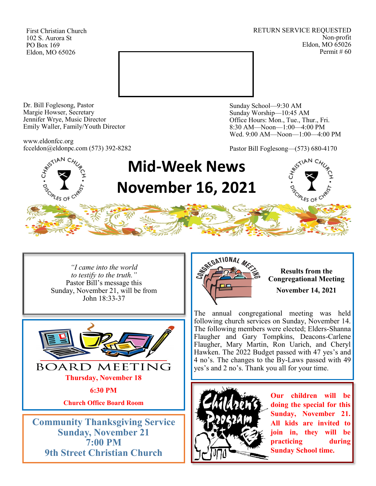First Christian Church 102 S. Aurora St PO Box 169 Eldon, MO 65026

RETURN SERVICE REQUESTED Non-profit Eldon, MO 65026 Permit # 60



Dr. Bill Foglesong, Pastor Margie Howser, Secretary Jennifer Wrye, Music Director Emily Waller, Family/Youth Director

www.eldonfcc.org fcceldon@eldonpc.com (573) 392-8282

**SCIPLES OF C** 

Sunday School—9:30 AM Sunday Worship—10:45 AM Office Hours: Mon., Tue., Thur., Fri. 8:30 AM—Noon—1:00—4:00 PM Wed. 9:00 AM—Noon—1:00—4:00 PM

Pastor Bill Foglesong—(573) 680-4170

# **Mid-Week News November 16, 2021**



*"I came into the world to testify to the truth."* Pastor Bill's message this Sunday, November 21, will be from John 18:33-37



**Sunday, November 21 7:00 PM 9th Street Christian Church**



**Results from the Congregational Meeting November 14, 2021**

The annual congregational meeting was held following church services on Sunday, November 14. The following members were elected; Elders-Shanna Flaugher and Gary Tompkins, Deacons-Carlene Flaugher, Mary Martin, Ron Uarich, and Cheryl Hawken. The 2022 Budget passed with 47 yes's and 4 no's. The changes to the By-Laws passed with 49 yes's and 2 no's. Thank you all for your time.



**Our children will be doing the special for this Sunday, November 21. All kids are invited to join in, they will be practicing during Sunday School time.**